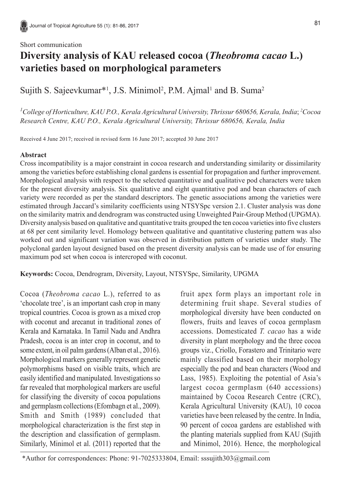#### Short communication

# **Diversity analysis of KAU released cocoa (***Theobroma cacao* **L.) varieties based on morphological parameters**

Sujith S. Sajeevkumar<sup>\*1</sup>, J.S. Minimol<sup>2</sup>, P.M. Ajmal<sup>1</sup> and B. Suma<sup>2</sup>

*1 College of Horticulture, KAU P.O., Kerala Agricultural University, Thrissur 680656, Kerala, India*; *<sup>2</sup> Cocoa Research Centre, KAU P.O., Kerala Agricultural University, Thrissur 680656, Kerala, India*

Received 4 June 2017; received in revised form 16 June 2017; accepted 30 June 2017

## **Abstract**

Cross incompatibility is a major constraint in cocoa research and understanding similarity or dissimilarity among the varieties before establishing clonal gardens is essential for propagation and further improvement. Morphological analysis with respect to the selected quantitative and qualitative pod characters were taken for the present diversity analysis. Six qualitative and eight quantitative pod and bean characters of each variety were recorded as per the standard descriptors. The genetic associations among the varieties were estimated through Jaccard's similarity coefficients using NTSYSpc version 2.1. Cluster analysis was done on the similarity matrix and dendrogram was constructed using Unweighted Pair-Group Method (UPGMA). Diversity analysis based on qualitative and quantitative traits grouped the ten cocoa varieties into five clusters at 68 per cent similarity level. Homology between qualitative and quantitative clustering pattern was also worked out and significant variation was observed in distribution pattern of varieties under study. The polyclonal garden layout designed based on the present diversity analysis can be made use of for ensuring maximum pod set when cocoa is intercroped with coconut.

**Keywords:** Cocoa, Dendrogram, Diversity, Layout, NTSYSpc, Similarity, UPGMA

Cocoa (*Theobroma cacao* L.), referred to as 'chocolate tree', is an important cash crop in many tropical countries. Cocoa is grown as a mixed crop with coconut and arecanut in traditional zones of Kerala and Karnataka. In Tamil Nadu and Andhra Pradesh, cocoa is an inter crop in coconut, and to some extent, in oil palm gardens (Alban et al., 2016). Morphological markers generally represent genetic polymorphisms based on visible traits, which are easily identified and manipulated. Investigations so far revealed that morphological markers are useful for classifying the diversity of cocoa populations and germplasm collections (Efombagn et al., 2009). Smith and Smith (1989) concluded that morphological characterization is the first step in the description and classification of germplasm. Similarly, Minimol et al. (2011) reported that the

fruit apex form plays an important role in determining fruit shape. Several studies of morphological diversity have been conducted on flowers, fruits and leaves of cocoa germplasm accessions. Domesticated *T. cacao* has a wide diversity in plant morphology and the three cocoa groups viz., Criollo, Forastero and Trinitario were mainly classified based on their morphology especially the pod and bean characters (Wood and Lass, 1985). Exploiting the potential of Asia's largest cocoa germplasm (640 accessions) maintained by Cocoa Research Centre (CRC), Kerala Agricultural University (KAU), 10 cocoa varieties have been released by the centre. In India, 90 percent of cocoa gardens are established with the planting materials supplied from KAU (Sujith and Minimol, 2016). Hence, the morphological

<sup>\*</sup>Author for correspondences: Phone: 91-7025333804, Email: sssujith303@gmail.com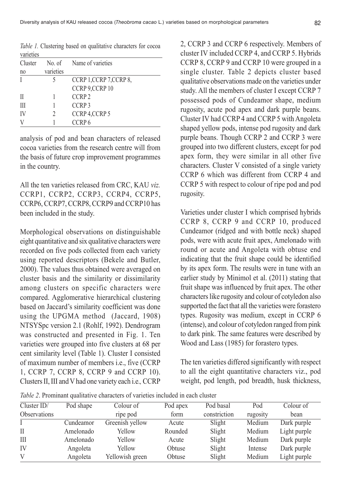| <i>valieties</i> |           |                          |
|------------------|-----------|--------------------------|
| Cluster          |           | No. of Name of varieties |
| no               | varieties |                          |
|                  |           | CCRP 1, CCRP 7, CCRP 8,  |
|                  |           | CCRP 9,CCRP 10           |
| $\mathbf{I}$     |           | CCRP <sub>2</sub>        |
| Ш                |           | CCRP <sub>3</sub>        |
| IV               | 2         | CCRP 4, CCRP 5           |
|                  |           | CCRP <sub>6</sub>        |
|                  |           |                          |

*Table 1.* Clustering based on qualitative characters for cocoa varieties

analysis of pod and bean characters of released cocoa varieties from the research centre will from the basis of future crop improvement programmes in the country.

All the ten varieties released from CRC, KAU *viz.* CCRP1, CCRP2, CCRP3, CCRP4, CCRP5, CCRP6, CCRP7, CCRP8, CCRP9 and CCRP10 has been included in the study.

Morphological observations on distinguishable eight quantitative and six qualitative characters were recorded on five pods collected from each variety using reported descriptors (Bekele and Butler, 2000). The values thus obtained were averaged on cluster basis and the similarity or dissimilarity among clusters on specific characters were compared. Agglomerative hierarchical clustering based on Jaccard's similarity coefficient was done using the UPGMA method (Jaccard, 1908) NTSYSpc version 2.1 (Rohlf, 1992). Dendrogram was constructed and presented in Fig. 1. Ten varieties were grouped into five clusters at 68 per cent similarity level (Table 1). Cluster I consisted of maximum number of members i.e., five (CCRP 1, CCRP 7, CCRP 8, CCRP 9 and CCRP 10). Clusters II, III and V had one variety each i.e.*,* CCRP

2, CCRP 3 and CCRP 6 respectively. Members of cluster IV included CCRP 4, and CCRP 5. Hybrids CCRP 8, CCRP 9 and CCRP 10 were grouped in a single cluster. Table 2 depicts cluster based qualitative observations made on the varieties under study. All the members of cluster I except CCRP 7 possessed pods of Cundeamor shape, medium rugosity, acute pod apex and dark purple beans. Cluster IV had CCRP 4 and CCRP 5 with Angoleta shaped yellow pods, intense pod rugosity and dark purple beans. Though CCRP 2 and CCRP 3 were grouped into two different clusters, except for pod apex form, they were similar in all other five characters. Cluster V consisted of a single variety CCRP 6 which was different from CCRP 4 and CCRP 5 with respect to colour of ripe pod and pod rugosity.

Varieties under cluster I which comprised hybrids CCRP 8, CCRP 9 and CCRP 10, produced Cundeamor (ridged and with bottle neck) shaped pods, were with acute fruit apex, Amelonado with round or acute and Angoleta with obtuse end indicating that the fruit shape could be identified by its apex form. The results were in tune with an earlier study by Minimol et al. (2011) stating that fruit shape was influenced by fruit apex. The other characters like rugosity and colour of cotyledon also supported the fact that all the varieties were forastero types. Rugosity was medium, except in CCRP 6 (intense), and colour of cotyledon ranged from pink to dark pink. The same features were described by Wood and Lass (1985) for forastero types.

The ten varieties differed significantly with respect to all the eight quantitative characters viz., pod weight, pod length, pod breadth, husk thickness,

*Table 2*. Prominant qualitative characters of varieties included in each cluster

| Cluster $ID/$       | Pod shape | Colour of       | Pod apex | Pod basal    | Pod      | Colour of    |
|---------------------|-----------|-----------------|----------|--------------|----------|--------------|
| <b>Observations</b> |           | ripe pod        | form     | constriction | rugosity | bean         |
|                     | Cundeamor | Greenish yellow | Acute    | Slight       | Medium   | Dark purple  |
| Н                   | Amelonado | Yellow          | Rounded  | Slight       | Medium   | Light purple |
| III                 | Amelonado | Yellow          | Acute    | Slight       | Medium   | Dark purple  |
| IV                  | Angoleta  | Yellow          | Obtuse   | Slight       | Intense  | Dark purple  |
| V                   | Angoleta  | Yellowish green | Obtuse   | Slight       | Medium   | Light purple |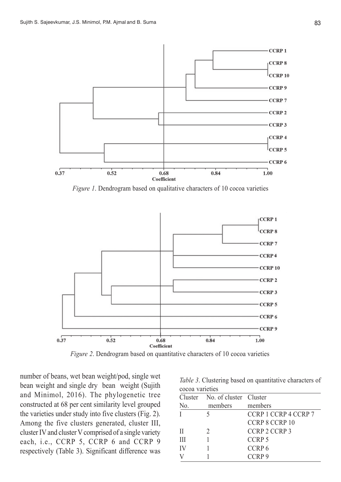

*Figure 1*. Dendrogram based on qualitative characters of 10 cocoa varieties



*Figure 2*. Dendrogram based on quantitative characters of 10 cocoa varieties

number of beans, wet bean weight/pod, single wet bean weight and single dry bean weight (Sujith and Minimol, 2016). The phylogenetic tree constructed at 68 per cent similarity level grouped the varieties under study into five clusters (Fig. 2). Among the five clusters generated, cluster III, cluster IV and cluster V comprised of a single variety each, i.e., CCRP 5, CCRP 6 and CCRP 9 respectively (Table 3). Significant difference was

*Table 3*. Clustering based on quantitative characters of cocoa varieties

| Cluster No. of cluster Cluster |                      |
|--------------------------------|----------------------|
| members                        | members              |
|                                | CCRP 1 CCRP 4 CCRP 7 |
|                                | CCRP 8 CCRP 10       |
|                                | CCRP 2 CCRP 3        |
|                                | CCRP <sub>5</sub>    |
|                                | CCRP <sub>6</sub>    |
|                                | CCRP <sub>9</sub>    |
|                                |                      |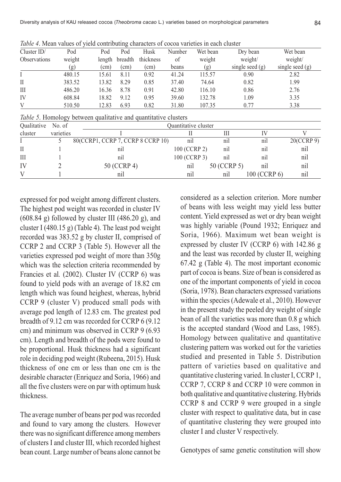| Twee renoun values of your contributing characters of cocou various in cash chaster |        |                   |                   |                   |        |          |                   |                   |
|-------------------------------------------------------------------------------------|--------|-------------------|-------------------|-------------------|--------|----------|-------------------|-------------------|
| Cluster $ID/$                                                                       | Pod    | Pod               | Pod               | Husk              | Number | Wet bean | Dry bean          | Wet bean          |
| <b>Observations</b>                                                                 | weight |                   | length breadth    | thickness         | of     | weight   | weight/           | weight/           |
|                                                                                     | (g)    | (c <sub>m</sub> ) | (c <sub>m</sub> ) | (c <sub>m</sub> ) | beans  | (g)      | single seed $(g)$ | single seed $(g)$ |
|                                                                                     | 480.15 | 15.61             | 8.11              | 0.92              | 41.24  | 115.57   | 0.90              | 2.82              |
| П                                                                                   | 383.52 | 13.82             | 8.29              | 0.85              | 37.40  | 74.64    | 0.82              | 1.99              |
| Ш                                                                                   | 486.20 | 16.36             | 8.78              | 0.91              | 42.80  | 116.10   | 0.86              | 2.76              |
| IV                                                                                  | 608.84 | 18.82             | 9.12              | 0.95              | 39.60  | 132.78   | 1.09              | 3.35              |
| V                                                                                   | 510.50 | 12.83             | 6.93              | 0.82              | 31.80  | 107.35   | 0.77              | 3.38              |
|                                                                                     |        |                   |                   |                   |        |          |                   |                   |

*Table 4*. Mean values of yield contributing characters of cocoa varieties in each cluster

*Table 5*. Homology between qualitative and quantitative clusters

| Qualitative No. of |           |                                   | Ouantitative cluster |             |              |            |  |  |  |  |
|--------------------|-----------|-----------------------------------|----------------------|-------------|--------------|------------|--|--|--|--|
| cluster            | varieties |                                   |                      |             |              |            |  |  |  |  |
|                    |           | 80(CCRP1, CCRP 7, CCRP 8 CCRP 10) | n1                   | n1l         | nil          | 20(CCRP 9) |  |  |  |  |
| Н                  |           | n1                                | 100 (CCRP 2)         | nil         | n1           | nil        |  |  |  |  |
| Ш                  |           | n1                                | 100 (CCRP 3)         | n1          | n1           | nil        |  |  |  |  |
| IV                 |           | 50 (CCRP 4)                       | nıl                  | 50 (CCRP 5) | n1           | nil        |  |  |  |  |
|                    |           | nı                                | nil                  | nıl         | 100 (CCRP 6) | nil        |  |  |  |  |

expressed for pod weight among different clusters. The highest pod weight was recorded in cluster IV  $(608.84 \text{ g})$  followed by cluster III  $(486.20 \text{ g})$ , and cluster I (480.15 g) (Table 4). The least pod weight recorded was 383.52 g by cluster II, comprised of CCRP 2 and CCRP 3 (Table 5). However all the varieties expressed pod weight of more than 350g which was the selection criteria recommended by Francies et al*.* (2002). Cluster IV (CCRP 6) was found to yield pods with an average of 18.82 cm length which was found heighest, whereas, hybrid CCRP 9 (cluster V) produced small pods with average pod length of 12.83 cm. The greatest pod breadth of 9.12 cm was recorded for CCRP 6 (9.12 cm) and minimum was observed in CCRP 9 (6.93 cm). Length and breadth of the pods were found to be proportional. Husk thickness had a significant role in deciding pod weight (Rubeena, 2015). Husk thickness of one cm or less than one cm is the desirable character (Enriquez and Soria, 1966) and all the five clusters were on par with optimum husk thickness.

The average number of beans per pod was recorded and found to vary among the clusters. However there was no significant difference among members of clusters I and cluster III, which recorded highest bean count. Large number of beans alone cannot be

considered as a selection criterion. More number of beans with less weight may yield less butter content. Yield expressed as wet or dry bean weight was highly variable (Pound 1932; Enriquez and Soria, 1966). Maximum wet bean weight is expressed by cluster IV (CCRP 6) with 142.86 g and the least was recorded by cluster II, weighing 67.42 g (Table 4). The most important economic part of cocoa is beans. Size of bean is considered as one of the important components of yield in cocoa (Soria, 1978). Bean characters expressed variations within the species (Adewale et al., 2010). However in the present study the peeled dry weight of single bean of all the varieties was more than 0.8 g which is the accepted standard (Wood and Lass, 1985). Homology between qualitative and quantitative clustering pattern was worked out for the varieties studied and presented in Table 5. Distribution pattern of varieties based on qualitative and quantitative clustering varied. In cluster I, CCRP 1, CCRP 7, CCRP 8 and CCRP 10 were common in both qualitative and quantitative clustering. Hybrids CCRP 8 and CCRP 9 were grouped in a single cluster with respect to qualitative data, but in case of quantitative clustering they were grouped into cluster I and cluster V respectively.

Genotypes of same genetic constitution will show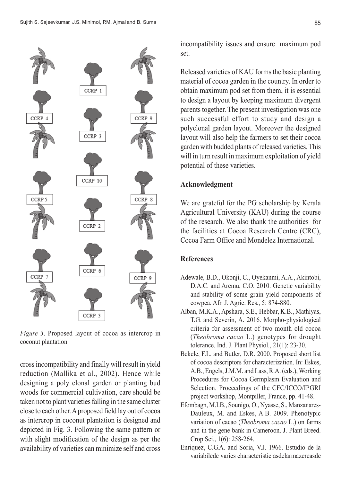

*Figure 3*. Proposed layout of cocoa as intercrop in coconut plantation

cross incompatibility and finally will result in yield reduction (Mallika et al., 2002). Hence while designing a poly clonal garden or planting bud woods for commercial cultivation, care should be taken not to plant varieties falling in the same cluster close to each other. A proposed field lay out of cocoa as intercrop in coconut plantation is designed and depicted in Fig. 3. Following the same pattern or with slight modification of the design as per the availability of varieties can minimize self and cross incompatibility issues and ensure maximum pod set.

Released varieties of KAU forms the basic planting material of cocoa garden in the country. In order to obtain maximum pod set from them, it is essential to design a layout by keeping maximum divergent parents together. The present investigation was one such successful effort to study and design a polyclonal garden layout. Moreover the designed layout will also help the farmers to set their cocoa garden with budded plants of released varieties. This will in turn result in maximum exploitation of yield potential of these varieties.

#### **Acknowledgment**

We are grateful for the PG scholarship by Kerala Agricultural University (KAU) during the course of the research. We also thank the authorities for the facilities at Cocoa Research Centre (CRC), Cocoa Farm Office and Mondelez International.

## **References**

- Adewale, B.D., Okonji, C., Oyekanmi, A.A., Akintobi, D.A.C. and Aremu, C.O. 2010. Genetic variability and stability of some grain yield components of cowpea. Afr. J. Agric. Res., 5: 874-880.
- Alban, M.K.A., Apshara, S.E., Hebbar, K.B., Mathiyas, T.G. and Severin, A. 2016. Morpho-physiological criteria for assessment of two month old cocoa (*Theobroma cacao* L.) genotypes for drought tolerance. Ind. J. Plant Physiol., 21(1): 23-30.
- Bekele, F.L. and Butler, D.R. 2000. Proposed short list of cocoa descriptors for characterization. In: Eskes, A.B., Engels, J.M.M. and Lass, R.A. (eds.), Working Procedures for Cocoa Germplasm Evaluation and Selection. Proceedings of the CFC/ICCO/IPGRI project workshop, Montpiller, France, pp. 41-48.
- Efombagn, M.I.B., Sounigo, O., Nyasse, S., Manzanares-Dauleux, M. and Eskes, A.B. 2009. Phenotypic variation of cacao (*Theobroma cacao* L.) on farms and in the gene bank in Cameroon. J. Plant Breed. Crop Sci., 1(6): 258-264.
- Enriquez, C.G.A. and Soria, V.J. 1966. Estudio de la variabilede varies characteristic asdelarmazereasde